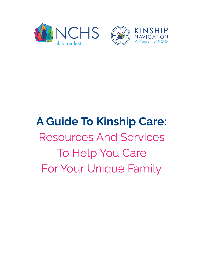

# **A Guide To Kinship Care:** Resources And Services To Help You Care For Your Unique Family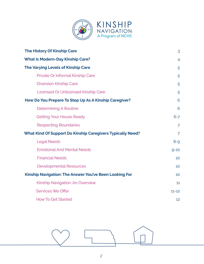

| <b>The History Of Kinship Care</b>                                | 3              |
|-------------------------------------------------------------------|----------------|
| <b>What Is Modern-Day Kinship Care?</b>                           | 4              |
| The Varying Levels of Kinship Care                                | 5              |
| Private Or Informal Kinship Care                                  | 5              |
| <b>Diversion Kinship Care</b>                                     | 5              |
| <b>Licensed Or Unlicensed Kinship Care</b>                        | 5              |
| How Do You Prepare To Step Up As A Kinship Caregiver?             | 6              |
| Determining A Routine                                             | 6              |
| <b>Getting Your House Ready</b>                                   | $6 - 7$        |
| <b>Respecting Boundaries</b>                                      | $\overline{7}$ |
| <b>What Kind Of Support Do Kinship Caregivers Typically Need?</b> | $\overline{7}$ |
| <b>Legal Needs</b>                                                | $8 - 9$        |
| <b>Emotional And Mental Needs</b>                                 | $9 - 10$       |
| <b>Financial Needs</b>                                            | 10             |
| <b>Developmental Resources</b>                                    | 10             |
| <b>Kinship Navigation: The Answer You've Been Looking For</b>     | 10             |
| Kinship Navigation: An Overview                                   | 11             |
| <b>Services We Offer</b>                                          | $11 - 12$      |
| <b>How To Get Started</b>                                         | 12             |

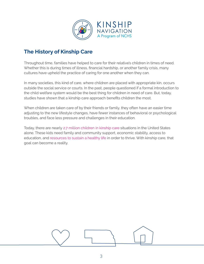

# <span id="page-2-0"></span>**The History of Kinship Care**

Throughout time, families have helped to care for their relative's children in times of need. Whether this is during times of illness, financial hardship, or another family crisis, many cultures have upheld the practice of caring for one another when they can.

In many societies, this kind of care, where children are placed with appropriate kin, occurs outside the social service or courts. In the past, people questioned if a formal introduction to the child welfare system would be the best thing for children in need of care. But, today, studies have shown that a kinship care approach benefits children the most.

When children are taken care of by their friends or family, they often have an easier time adjusting to the new lifestyle changes, have fewer instances of behavioral or psychological troubles, and face less pressure and challenges in their education.

<span id="page-2-1"></span>Today, there are nearly 2.7 million [children](https://www.aecf.org/blog/what-is-kinship-care) in kinship care situations in the United States alone. These kids need family and community support, economic stability, access to education, and [resources](https://assets.aecf.org/m/resourcedoc/aecf-2021kidscountdatabook-2021.pdf) to sustain a healthy life in order to thrive. With kinship care, that goal can become a reality.

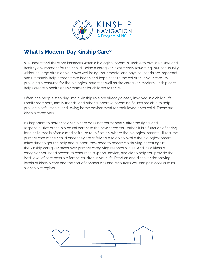

# <span id="page-3-0"></span>**What Is Modern-Day Kinship Care?**

We understand there are instances when a biological parent is unable to provide a safe and healthy environment for their child. Being a caregiver is extremely rewarding, but not usually without a large strain on your own wellbeing. Your mental and physical needs are important and ultimately help demonstrate health and happiness to the children in your care. By providing a resource for the biological parent as well as the caregiver, modern kinship care helps create a healthier environment for children to thrive.

Often, the people stepping into a kinship role are already closely involved in a child's life. Family members, family friends, and other supportive parenting figures are able to help provide a safe, stable, and loving home environment for their loved one's child. These are kinship caregivers.

It's important to note that kinship care does not permanently alter the rights and responsibilities of the biological parent to the new caregiver. Rather, it is a function of caring for a child that is often aimed at future reunification, where the biological parent will resume primary care of their child once they are safely able to do so. While the biological parent takes time to get the help and support they need to become a thriving parent again; the kinship caregiver takes over primary caregiving responsibilities. And, as a kinship caregiver, you need access to resources, support, advice, and aid to help you provide the best level of care possible for the children in your life. Read on and discover the varying levels of kinship care and the sort of connections and resources you can gain access to as a kinship caregiver.

<span id="page-3-1"></span>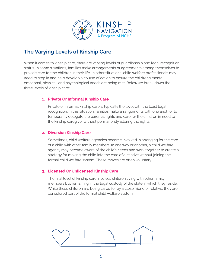

# <span id="page-4-0"></span>**The Varying Levels of Kinship Care**

When it comes to kinship care, there are varying levels of guardianship and legal recognition status. In some situations, families make arrangements or agreements among themselves to provide care for the children in their life. In other situations, child welfare professionals may need to step in and help develop a course of action to ensure the children's mental, emotional, physical, and psychological needs are being met. Below we break down the three levels of kinship care:

## <span id="page-4-1"></span>**1. Private Or Informal Kinship Care**

Private or informal kinship care is typically the level with the least legal recognition. In this situation, families make arrangements with one another to temporarily delegate the parental rights and care for the children in need to the kinship caregiver without permanently altering the rights.

## <span id="page-4-2"></span>**2. Diversion Kinship Care**

Sometimes, child welfare agencies become involved in arranging for the care of a child with other family members. In one way or another, a child welfare agency may become aware of the child's needs and work together to create a strategy for moving the child into the care of a relative without joining the formal child welfare system. These moves are often voluntary.

## <span id="page-4-3"></span>**3. Licensed Or Unlicensed Kinship Care**

The final level of kinship care involves children living with other family members but remaining in the legal custody of the state in which they reside. While these children are being cared for by a close friend or relative, they are considered part of the formal child welfare system.

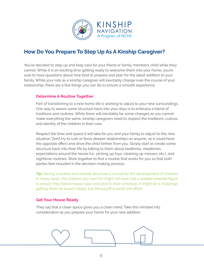

# <span id="page-5-0"></span>**How Do You Prepare To Step Up As A Kinship Caregiver?**

You've decided to step up and help care for your friend or family member's child while they cannot. While it is an exciting time getting ready to welcome them into your home, you're sure to have questions about how best to prepare and plan for the latest addition to your family. While your role as a kinship caregiver will inevitably change over the course of your relationship, there are a few things you can do to ensure a smooth experience.

#### <span id="page-5-1"></span>**Determine A Routine Together**

Part of transitioning to a new home life is working to adjust to your new surroundings. One way to weave some structure back into your days is to embrace a blend of traditions and routines. While there will inevitably be some changes as you cannot make everything the same, kinship caregivers need to respect the traditions, culture, and identity of the children in their care.

Respect the time and space it will take for you and your family to adjust to this new situation. Don't try to rush or force deeper relationships on anyone, as it could have the opposite effect and drive the child farther from you. Slowly start to create some structure back into their life by talking to them about bedtimes, mealtimes, expectations around the house (i.e., picking up toys, cleaning up messes, etc.), and nighttime routines. Work together to find a routine that works for you so that both parties feel included in the decision-making process.

**Tip:** Having a routine and reliable structure is crucial for the development of children. In many cases, the children you care for might not have had a reliable parental figure to ensure they follow house rules and stick to their schedule. It might be a challenge getting them on board initially, but the payoff is worth the effort!

#### <span id="page-5-2"></span>**Get Your House Ready**

They say that a clean space gives you a clean mind. Take this mindset into consideration as you prepare your home for your new addition.

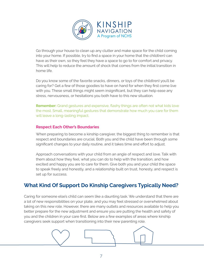

Go through your house to clean up any clutter and make space for the child coming into your home. If possible, try to find a space in your home that the child(ren) can have as their own, so they feel they have a space to go to for comfort and privacy. This will help to reduce the amount of shock that comes from the initial transition in home life.

Do you know some of the favorite snacks, dinners, or toys of the child(ren) you'll be caring for? Get a few of those goodies to have on hand for when they first come live with you. These small things might seem insignificant, but they can help ease any stress, nervousness, or hesitations you both have to this new situation.

**Remember:** Grand gestures and expensive, flashy things are often not what kids love the most. Small, meaningful gestures that demonstrate how much you care for them will leave a long-lasting impact.

#### <span id="page-6-0"></span>**Respect Each Other's Boundaries**

When preparing to become a kinship caregiver, the biggest thing to remember is that respect and boundaries are crucial. Both you and the child have been through some significant changes to your daily routine, and it takes time and effort to adjust.

Approach conversations with your child from an angle of respect and love. Talk with them about how they feel, what you can do to help with the transition, and how excited and happy you are to care for them. Give both you and your child the space to speak freely and honestly, and a relationship built on trust, honesty, and respect is set up for success.

# <span id="page-6-1"></span>**What Kind Of Support Do Kinship Caregivers Typically Need?**

Caring for someone else's child can seem like a daunting task. We understand that there are a lot of new responsibilities on your plate, and you may feel stressed or overwhelmed about taking on this new role. However, there are many outlets and resources available to help you better prepare for the new adjustment and ensure you are putting the health and safety of you and the children in your care first. Below are a few examples of areas where kinship caregivers seek support when transitioning into their new parenting role.

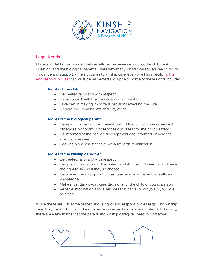

#### <span id="page-7-0"></span>**Legal Needs**

Understandably, this is most likely an all-new experience for you, the child(ren) in question, and the biological parents. That's why many kinship caregivers reach out for guidance and support. When it comes to kinship care, everyone has specific [rights](https://www.facs.nsw.gov.au/families/carers/about-relative-and-kinship-care/chapters/rights-and-responsibilities) and [responsibilities](https://www.facs.nsw.gov.au/families/carers/about-relative-and-kinship-care/chapters/rights-and-responsibilities) that must be respected and upheld. Some of these rights include:

#### **Rights of the child:**

- Be treated fairly and with respect
- Have contact with their family and community
- Take part in making important decisions affecting their life.
- Uphold their own beliefs and way of life

#### **Rights of the biological parent:**

- Be kept informed of the whereabouts of their child, unless deemed otherwise by community services out of fear for the child's safety
- Be informed of their child's development and informed on who the kinship carers are
- Seek help and assistance to work towards reunification

#### **Rights of the kinship caregiver:**

- Be treated fairly and with respect
- Be given information on the potential child they will care for, and have the right to say no if they so choose
- Be offered training opportunities to expand your parenting skills and knowledge
- Make most day-to-day care decisions for the child or young person
- Receive information about services that can support you in your role as a carer

While these are just some of the various rights and responsibilities regarding kinship care, they help to highlight the differences in expectations in your roles. Additionally, there are a few things that the parent and kinship caregiver need to do before

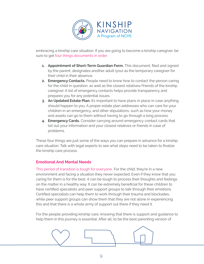

embracing a kinship care situation. If you are going to become a kinship caregiver, be sure to get four things [documents](https://meierfirm.com/legal-must-dos-before-leaving-your-kids-in-someone-elses-care/) in order:

- **1. Appointment of Short-Term Guardian Form.** This document, filed and signed by the parent, designates another adult (you) as the temporary caregiver for their child in their absence.
- **2. Emergency Contacts.** People need to know how to contact the person caring for the child in question, as well as the closest relatives/friends of the kinship caregiver. A list of emergency contacts helps provide transparency and prepares you for any potential issues.
- **3. An Updated Estate Plan.** It's important to have plans in place in case anything should happen to you. A proper estate plan addresses who can care for your children in an emergency, and other stipulations, such as how your money and assets can go to them without having to go through a long process.
- **4. Emergency Cards.** Consider carrying around emergency contact cards that list out your information and your closest relatives or friends in case of problems.

These four things are just some of the ways you can prepare in advance for a kinship care situation. Talk with legal experts to see what steps need to be taken to finalize the kinship care process.

## <span id="page-8-0"></span>**Emotional And Mental Needs**

This period of transition is tough for everyone. For the child, they're in a new environment and facing a situation they never expected. Even if they know that you caring for them is for the best, it can be tough to process their thoughts and feelings on the matter in a healthy way. It can be extremely beneficial for these children to have certified specialists and peer support groups to talk through their emotions. Certified specialists can help them to work through their trauma and blockades, while peer support groups can show them that they are not alone in experiencing this and that there is a whole army of support out there if they need it.

For the people providing kinship care, knowing that there is support and guidance to help them in this journey is essential. After all, to be the best parenting version of

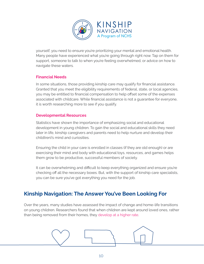

yourself, you need to ensure you're prioritizing your mental and emotional health. Many people have experienced what you're going through right now. Tap on them for support, someone to talk to when you're feeling overwhelmed, or advice on how to navigate these waters.

## <span id="page-9-0"></span>**Financial Needs**

In some situations, those providing kinship care may qualify for financial assistance. Granted that you meet the eligibility requirements of federal, state, or local agencies, you may be entitled to financial compensation to help offset some of the expenses associated with childcare. While financial assistance is not a guarantee for everyone, it is worth researching more to see if you qualify.

## <span id="page-9-1"></span>**Developmental Resources**

Statistics have shown the importance of emphasizing social and educational development in young children. To gain the social and educational skills they need later in life, kinship caregivers and parents need to help nurture and develop their child(ren)'s mind and curiosities.

Ensuring the child in your care is enrolled in classes (if they are old enough) or are exercising their mind and body with educational toys, resources, and games helps them grow to be productive, successful members of society.

It can be overwhelming and difficult to keep everything organized and ensure you're checking off all the necessary boxes. But, with the support of kinship care specialists, you can be sure you've got everything you need for the job.

# <span id="page-9-2"></span>**Kinship Navigation: The Answer You've Been Looking For**

Over the years, many studies have assessed the impact of change and home-life transitions on young children. Researchers found that when children are kept around loved ones, rather than being removed from their homes, they [develop](https://mcfd.gov.bc.ca/reporting/services/child-protection/permanency-for-children-and-youth/performance-indicators/children-in-care) at a higher rate.

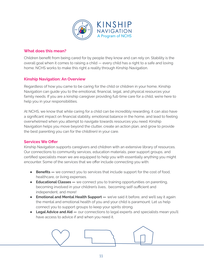

## **What does this mean?**

Children benefit from being cared for by people they know and can rely on. Stability is the overall goal when it comes to raising a child — every child has a right to a safe and loving home. NCHS works to make this right a reality through Kinship Navigation.

#### <span id="page-10-0"></span>**Kinship Navigation: An Overview**

Regardless of how you came to be caring for the child or children in your home, Kinship Navigation can guide you to the emotional, financial, legal, and physical resources your family needs. If you are a kinship caregiver providing full-time care for a child, we're here to help you in your responsibilities.

At NCHS, we know that while caring for a child can be incredibly rewarding, it can also have a significant impact on financial stability, emotional balance in the home, and lead to feeling overwhelmed when you attempt to navigate towards resources you need. Kinship Navigation helps you move beyond the clutter, create an action plan, and grow to provide the best parenting you can for the child(ren) in your care.

#### <span id="page-10-1"></span>**Services We Offer**

Kinship Navigation supports caregivers and children with an extensive library of resources. Our connections to community services, education materials, peer support groups, and certified specialists mean we are equipped to help you with essentially anything you might encounter. Some of the services that we offer include connecting you with:

- **Benefits** we connect you to services that include support for the cost of food, healthcare, or living expenses.
- **Educational Classes —** we connect you to training opportunities on parenting, becoming involved in your children's lives, becoming self-sufficient and independent, and more!
- **Emotional and Mental Health Support —** we've said it before, and we'll say it again: the mental and emotional health of you and your child is paramount. Let us help connect you to support groups to keep your spirits strong.
- **● Legal Advice and Aid —** our connections to legal experts and specialists mean you'll have access to advice if and when you need it.

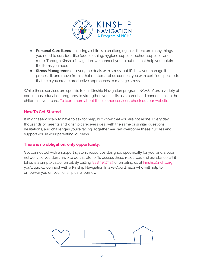

- **Personal Care Items —** raising a child is a challenging task; there are many things you need to consider, like food, clothing, hygiene supplies, school supplies, and more. Through Kinship Navigation, we connect you to outlets that help you obtain the items you need.
- **● Stress Management —** everyone deals with stress, but it's how you manage it, process it, and move from it that matters. Let us connect you with certified specialists that help you create productive approaches to manage stress.

While these services are specific to our Kinship Navigation program, NCHS offers a variety of continuous education programs to strengthen your skills as a parent and connections to the children in your care. To learn more about these other [services,](https://nchs.org/services/) check out our website.

## <span id="page-11-0"></span>**How To Get Started**

It might seem scary to have to ask for help, but know that you are not alone! Every day, thousands of parents and kinship caregivers deal with the same or similar questions, hesitations, and challenges you're facing. Together, we can overcome these hurdles and support you in your parenting journeys.

# **There is no obligation, only opportunity**.

Get connected with a support system, resources designed specifically for you, and a peer network, so you don't have to do this alone. To access these resources and assistance, all it takes is a simple call or email. By calling 888.315.7347 or emailing us at [kinship@nchs.org,](mailto:kinship@nchs.org) you'll quickly connect with a Kinship Navigation Intake Coordinator who will help to empower you on your kinship care journey.